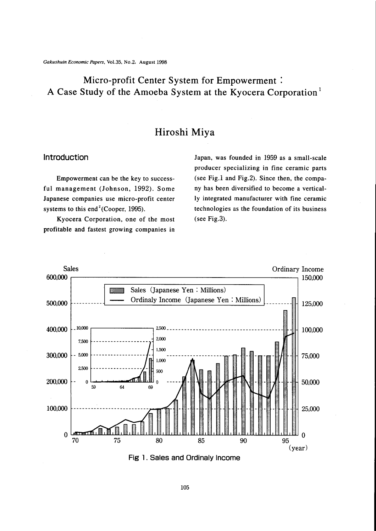Micro-profit Center System for Empowerment: A Case Study of the Amoeba System at the Kyocera Corporation<sup>1</sup>

# Hiroshi Miya

## Introduction

Empowerment can be the key to successful management (Johnson, 1992). Some Japanese companies use micro-profit center systems to this end<sup>2</sup>(Cooper, 1995).

Kyocera Corporation, one of the most profitable and fastest growing companies in

Japan, was founded in 1959 as a small-scale producer specializing in fine ceramic parts (see Fig.1 and Fig.2). Since then, the company has been diversified to become a vertically integrated manufacturer with fine ceramic technologies as the foundation of its business (see Fig.3).



Fig 1. Sales and Ordinaly Income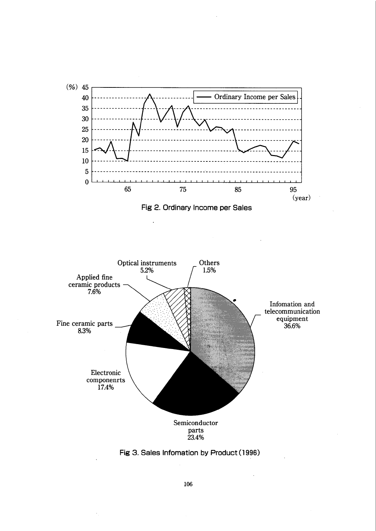

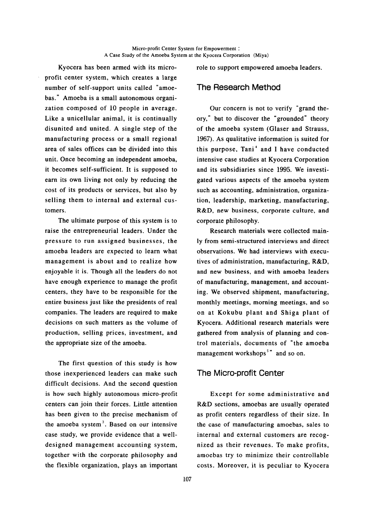Kyocera has been armed with its micro profit center system, which creates a large number of self-support units called "amoe- bas."Amoeba is a small autonomous organi- zation composed of 10 people in average. Like a unicellular animal, it is continually disunited and united. A single step of the manufacturing process or a small regional area of sales offices can be divided into this unit. Once becoming an independent amoeba, it becomes self-sufficient. It is supposed to earn its own living not only by reducing the cost of its products or services, but also by selling them to internal and external cus-tomers.

The ultimate purpose of this system is to raise the entrepreneurial leaders, Under the pressure to run assigned businesses, the amoeba leaders are expected to learn what management is about and to realize how enjoyable it is. Though all the leaders do not have enough experience to manage the profit centers, they have to be responsible for the entire business just like the presidents of real companies. The leaders are required to make decisions on such matters as the volume of production, selling prices, investment, and the appropriate size of the amoeba.

 The first question of this study is how those inexperienced leaders can make such difficult decisions. And the second question is how such highly autonomous micro-profit centers can join their forces. Little attention has been given to the precise mechanism of the amoeba system<sup>3</sup>. Based on our intensive case study, we provide evidence that a wel1 designed management accounting system, together with the corporate philosophy and the flexible organization, plays an important

role to support empowered amoeba leaders.

#### The Research Method

 Our concern is not to verify "grand the ory," but to discover the "grounded" theory of the amoeba system (Glaser and Strauss, 1967)。As qualitative information is suited for this purpose,  $Tani<sup>4</sup>$  and I have conducted intensive case studies at Kyocera Corporation and its subsidiaries since 1995. We investi gated various aspects of the amoeba system such as accounting, administration, organiza tion, leadership, marketing, manufacturing, R&D, new business, corporate culture, and corporate philosophy.

Research materials were collected mainly from semi-structured interviews and direct observations. We had interviews with executives of administration, manufacturing, R&D, and new business, and with amoeba leaders of manufacturing, management, and account ing. We observed shipment, manufacturing, monthly meetings, morning meetings, and so on at Kokubu piant and Shiga plant of Kyocera. Additional research materials were gathered from analysis of planning and con trol materials, documents of"the amoeba management workshops<sup>5</sup>" and so on.

## The Micro-profit Center

 Except for some administrative and R&D sections, amoebas are usually operated as profit centers regardless of their size. In the case of manufacturing amoebas, sales to internal and external customers are recog nized as their revenues. To make profits, amoebas try to minimize their controllable costs. Moreover, it is peculiar to Kyocera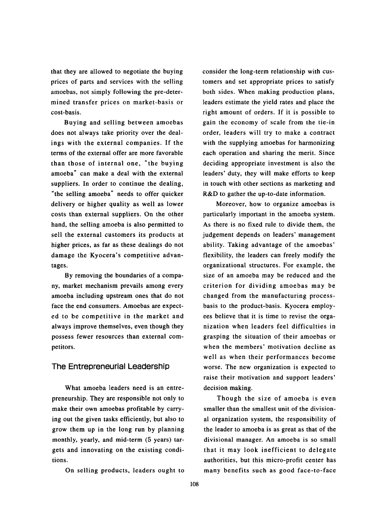that they are allowed to negotiate the buying prices of parts and services with the selling amoebas, not simply following the pre-deter mined transfer prices on market-basis or cost-basis.

Buying and selling between amoebas does not always take priority over the deal ings with the external companies. If the terms of the external offer are more favorable than those of internal one, "the buying amoeba" can make a deal with the external suppliers. In order to continue the dealing, "the selling amoeba" needs to offer quicker delivery or higher quality as well as lower costs than external suppliers. On the other hand, the selling amoeba is also permitted to sell the external customers its products at higher prices, as far as these dealings do not damage the Kyocera's competitive advan tages.

 By removing the boundaries of a compa ny, market mechanism prevails among every amoeba including upstream ones that do not face the end consumers. Amoebas are expect ed to be competitive in the market and always improve themselves, even though they possess fewer resources than external com petitors.

#### The Entrepreneurial Leadership

 What amoeba leaders need is an entre preneurship. They are responsible not only to make their own amoebas profitable by carry ing out the given tasks efficiently, but also to grow them up in the long run by planning monthly, yearly, and mid-term (5 years) targets and innovating on the existing condi tions.

On selling products, leaders ought to

consider the long-term relationship with cus tomers and set appropriate prices to satisfy both sides. When making production plans, leaders estimate the yield rates and place the right amount of orders. If it is possible Io gain the economy of scale from the tie-in order, leaders will try to make a contract with the supplying amoebas for harmonizing each operation and sharing the merit. Since deciding appropriate investment is also the leaders'duty, they will make efforts to keep in touch with other sections as marketing and R&D to gather the up-to-date information.

 Moreover, how to organize amoebas is particularly important in the amoeba system. As there is no fixed rule to divide them, the judgement depends on leaders'management ability. Taking advantage of the amoebas' flexibility, the leaders can freely modify the organizational structures. For example, the size of an amoeba may be reduced and the criterion for dividing amoebas may be changed from the manufacturing process basis to the product-basis. Kyocera employ ees believe that it is time to revise the orga nization when leaders feel difficulties in grasping the situation of their amoebas or when the members'motivation decline as well as when their performances become worse. The new organization is expected to raise their motivation and support leaders' decision making.

 Though the size of amoeba is even smaller than the smallest unit of the division al organization system, the responsibility of the leader to amoeba is as great as that of the divisional manager. An amoeba is so small that it may look inefficient to delegate authorities, but this micro-profit center has many benefits such as good face-to-face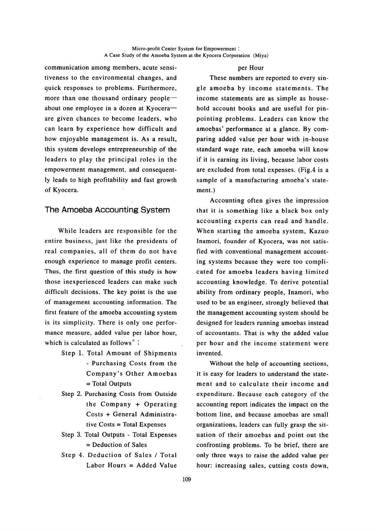communication among members, acute sensi tiveness to the environmental changes, and quick responses to problems. Furthermore, more than one thousand ordinary people $$ about one employee in a dozen at Kyoceraare given chances to become leaders, who can learn by experience how difficult and how enjoyable management is. As a result, this system develops entrepreneurship of the leaders to play the principal roles in the empowerment management, and consequent ly leads to high profitability and fast growth of Kyocera.

## The Amoeba Accounting System

 While leaders are responsible for the entire business, just like the presidents of real companies, all of them do not have enough experience to manage profit centers. Thus, the first question of this study is how those inexperienced leaders can make such difficult decisions. The key point is the use of management accounting information. The first feature of the amoeba accounting system is its simplicity. There is only one perfor mance measure, added value per labor hour, which is calculated as follows $<sup>6</sup>$ :</sup>

- Step 1. Total Amount of Shipments .Purchasing Costs from the Company's Other Amoebas =Total Outputs
- Step 2. Purchasing Costs from Outside the Company+Operating Costs + General Administra-tive Costs=Total Expenses
- Step 3. Total Outputs Total Expenses  $=$  Deduction of Sales
- Step 4. Deduction of Sales / Total Labor Hours=Addcd Value

#### per Hour

 These numbers are reported to every sin gle amoeba by income statements. The income statements are as simple as house hold account books and are useful for pin pointing problems. Leaders can know the amoebas'performance at a glance. By com paring added value per hour with in-house standard wage rate, each amoeba will know if it is earning its living, because labor costs are excluded from total expenses.(Fig.4 is a sample of a manufacturing amoeba's state ment.)

 Accounting often gives the impression that it is something like a black box only accounting experts can read and handle. When starting the amoeba system, Kazuo Inamori, founder of Kyocera, was not satis fied with conventional management account ing systems because they were too compli cated for amoeba leaders having limited accounting knowledge. To derive potential ability from ordinary people, Inamori, who used to be an engineer, strongly believed that the management accounting system should be designed for leaders running amoebas instead of accountants. That is why the added value per hour and the income statement were invented.

 Without the help of accounting sections, it is easy for leaders to understand the state ment and to calculate their income and expenditure. Because each category of the accounting report indicates the impact on the bottom line, and because amoebas are small organizations, leaders can fully grasp the sit uation of their amoebas and point out the confronting problems. To be brief, there are only three ways to raise the added value per hour: increasing sales, cutting costs down,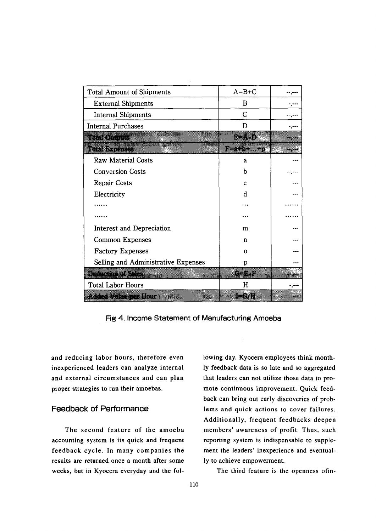| <b>Total Amount of Shipments</b>    | $A=B+C$ |  |
|-------------------------------------|---------|--|
| <b>External Shipments</b>           | B       |  |
| <b>Internal Shipments</b>           | C       |  |
| <b>Internal Purchases</b>           | D       |  |
| <b>GAKOASIK</b>                     |         |  |
| <u>KVADA SEKSKO</u>                 |         |  |
| <b>Raw Material Costs</b>           | a       |  |
| <b>Conversion Costs</b>             | b       |  |
| <b>Repair Costs</b>                 | c       |  |
| Electricity                         | d       |  |
|                                     |         |  |
|                                     |         |  |
| Interest and Depreciation           | m       |  |
| Common Expenses                     | n       |  |
| <b>Factory Expenses</b>             | 0       |  |
| Selling and Administrative Expenses | D       |  |
| nthe mathematic                     |         |  |
| <b>Total Labor Hours</b>            |         |  |
| Added Value per Hour                |         |  |

Fig 4. lncome Statement of Manufacturing Amoeba

and reducing labor hours, therefore even inexperienced leaders can analyze internal and external circumstances and can plan proper strategies to run their amoebas.

## Feedback of Performance

 The second feature of the amoeba accounting system is its quick and frequent feedback cycle. In many companies the results are returned once a month after some weeks, but in Kyocera everyday and the following day. Kyocera employees think month- 1y feedback data is so late and so aggregated that leaders can not utilize those data to pro mote continuous improvement. Quick feed back can bring out early discoveries of prob lems and quick actions to cover failures. Additionally, frequent feedbacks deepen members'awareness of profit. Thus, such reporting system is indispensable to supplement the leaders' inexperience and eventual-1y to achieve empowerment.

The third feature is the openness ofin-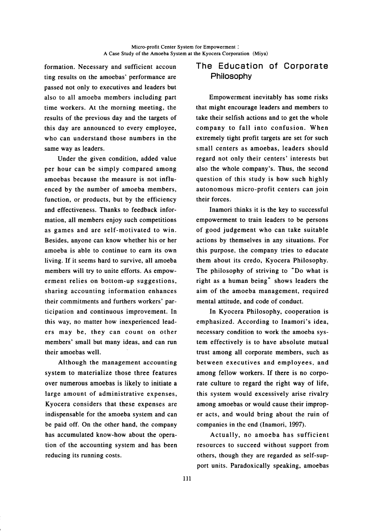formation. Necessary and sufficient accoun ting results on the amoebas'performance are passed not only to executives and leaders but also to all amoeba members including part time workers. At the morning meeting, the results of the previous day and the targets of this day are announced to every employee, who can understand those numbers in the same way as leaders.

 Under the given condition, added value per hour can be simply compared among amoebas because the measure is not influ enced by the number of amoeba members, function, or products, but by the efficiency and effectiveness. Thanks to feedback information, all members enjoy such competitions as games and are self-motivated to win. Besides, anyone can know whether his or her amoeba is able to continue to earn its own living. If it seems hard to survive, all amoeba members will try to unite efforts. As empow erment relies on bottom-up suggestions, sharing accounting information enhances their commitments and furthers workers' participation and continuous improvement. In this way, no matter how inexperienced lead ers may be, they can count on other members'small but many ideas, and can run their amoebas well.

 Although the management accounting system to materialize those three features over numerous amoebas is likely to initiate a large amount of administrative expenses, Kyocera considers that these expenses are indispensable for the amoeba system and can be paid off. On the other hand, the company has accumulated know-how about the opera tion of the accounting system and has been reducing its running costs.

## The Education of Corporate Philosophy

 Empowerment inevitably has some risks that might encourage leaders and members to take their selfish actions and to get the whole company to fall into confusion. When extremely tight profit targets are set for such small centers as amoebas, leaders should regard not only their centers' interests but also the whole company's. Thus, the second question of this study is how such highly autonomous micro-profit centers can join their forces.

 Inamori thinks it is the key to successful empowerment to train leaders to be persons of good judgement who can take suitable actions by themselves in any situations. For this purpose, the company tries to educate them about its credo, Kyocera Philosophy. The philosophy of striving to "Do what is right as a human being" shows leaders the aim of the amoeba management, required mental attitude, and code of conduct.

 In Kyocera Philosophy, cooperation is emphasized. According to Inamori's idea, necessary condition to work the amoeba sys tem effectively is to have absolute mutual trust among all corporate members, such as between executives and employees, and among fellow workers. If there is no corpo・ rate culture to regard the right way of life, this system would excessively arise rivalry among amoebas or would cause their improp・ er acts, and would bring about the ruin of companies in the end (Inamori, 1997).

 Actually, no amoeba has sufficient resources to succeed without support from others, though they are regarded as self-sup port units. Paradoxically speaking, amoebas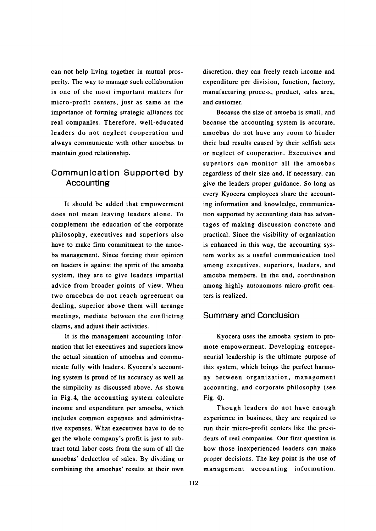can not help living together in mutual pros perity. The way to manage such collaboration is one of the most important matters for micro-profit centers, just as same as the importance of forming strategic alliances for real companies. Therefore, well-educated leaders do not neglect cooperation and always communicate with other amoebas to maintain good relationship.

## Communication Supported by Accounting

 It should be added that empowerment does not mean leaving leaders alone. To complement the education of the corporate philosophy, executives and superiors also have to make firm commitment to the amoe ba management. Since forcing their opinion on leaders is against the spirit of the amoeba system, they are to give leaders impartial advice from broader points of view. When two amoebas do not reach agreement on dealing, superior above them will arrange meetings, mediate between the conflicting claims, and adjust their activities.

 It is the management accounting infor mation that let executives and superiors know the actual situation of amoebas and commu nicate fully with leaders。 Kyocera's account ing system is proud of its accuracy as well as the simplicity as discussed above. As shown in Fig.4, the accounting system calculate income and expenditure per amoeba, which includes common expenses and administra tive expenses. What executives have to do to get the whole company's profit is just to sub tract total labor costs from the sum of all the amoebas'deduction of sales。 By dividing or combining the amoebas' results at their own discretion, they can freely reach income and expenditure per division, function, factory, manufacturing process, product, sales area, and customer.

 Because the size of amoeba is small, and because the accounting system is accurate, amoebas do not have any room to hinder their bad results caused by their selfish acts or neglect of cooperation, Executives and superiors can monitor all the amoebas regardless of their size and, if necessary, can give the leaders proper guidance. So long as every Kyocera employees share the account ing information and knowledge, communica tion supported by accounting data has advantages of making discussion concrete and practical. Since the visibility of organization is enhanced in this way, the accounting sys tem works as a useful communication tool among executives, superiors, leaders, and amoeba members. In the end, coordination among highly autonomous micro-profit cen ters is realized.

## Summary and Conclusion

 Kyocera uses the amoeba system to pro mote empowerment. Developing entrepreneurial leadership is the ultimate purpose of this system, which brings the perfect harmo ny between organization, management accounting, and corporate philosophy (see Fig.4).

Though leaders do not have enough experience in business, they are required to run their micro-profit centers like the presi dents of real companies. Our first question is how those inexperienced leaders can make proper decisions. The key point is the use of management accounting information.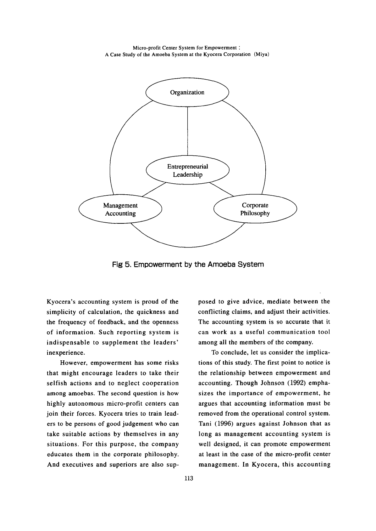Micro-profit Center System for Empowerment: A Case Study of the Amoeba System at the Kyocera Corporation (Miya)



Fig 5. Empowerment by the Amoeba System

Kyocera's accounting system is proud of the simplicity of calculation, the quickness and the frequency of feedback, and the openness of information. Such reporting system is indispensable to supplement the leaders' inexperience.

 However, empowerment has some risks that might encourage leaders to take their selfish actions and to neglect cooperation among amoebas. The second question is how highly autonomous micro-profit centers can join their forces. Kyocera tries to train lead ers to be persons of good judgement who can take suitable actions by themselves in any situations. For this purpose, the company educates them in the corporate philosophy. And executives and superiors are also supposed to give advice, mediate between the conflicting claims, and adjust their activities. The accounting system is so accurate that it can work as a useful communication tool among all the members of the company.

 To conclude, let us consider the implica tions of this study. The first point to notice is the relationship between empowerment and accounting. Though Johnson (1992) emphasizes the importance of empowerment, he argues that accounting information must be removed from the operational control system. Tani (1996) argues against Johnson that as long as management accounting system is well designed, it can promote empowerment at least in the case of the micro-profit center management. In Kyocera, this accounting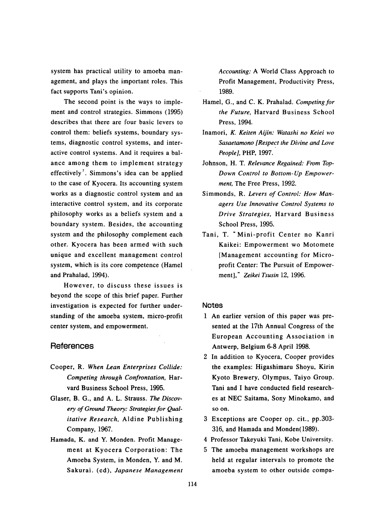system has practical utility to amoeba management, and plays the important roles. This fact supports Tani's opinion.

The second point is the ways to implement and control strategies. Simmons (1995) describes that there are four basic levers to control them: beliefs systems, boundary systems, diagnostic control systems, and interactive control systems. And it requires a balance among them to implement strategy effectively<sup>7</sup>. Simmons's idea can be applied to the case of Kyocera. Its accounting system works as a diagnostic control system and an interactive control system, and its corporate philosophy works as a beliefs system and a boundary system. Besides, the accounting system and the philosophy complement each other. Kyocera has been armed with such unique and excellent management control system, which is its core competence (Hamel and Prahalad, 1994).

However, to discuss these issues is beyond the scope of this brief paper. Further investigation is expected for further understanding of the amoeba system, micro-profit center system, and empowerment.

#### References

- Cooper, R. When Lean Enterprises Collide: Competing through Confrontation, Harvard Business School Press, 1995.
- Glaser, B. G., and A. L. Strauss. The Discovery of Ground Theory: Strategies for Qual*itative Research*, Aldine Publishing Company, 1967.
- Hamada, K. and Y. Monden. Profit Management at Kyocera Corporation: The Amoeba System, in Monden, Y. and M. Sakurai. (ed), Japanese Management

Accounting: A World Class Approach to Profit Management, Productivity Press, 1989.

- Hamel, G., and C. K. Prahalad. Competing for the Future, Harvard Business School Press. 1994.
- Inamori, K. Keiten Aijin: Watashi no Keiei wo Sasaetamono [Respect the Divine and Love People], PHP, 1997.
- Johnson, H. T. Relevance Regained: From Top-Down Control to Bottom-Up Empowerment, The Free Press, 1992.
- Simmonds, R. Levers of Control: How Managers Use Innovative Control Systems to Drive Strategies, Harvard Business School Press, 1995.
- Tani, T. "Mini-profit Center no Kanri Kaikei: Empowerment wo Motomete [Management accounting for Microprofit Center: The Pursuit of Empowerment]," Zeikei Tsusin 12, 1996.

## **Notes**

- 1 An earlier version of this paper was presented at the 17th Annual Congress of the European Accounting Association in Antwerp, Belgium 6-8 April 1998.
- 2 In addition to Kyocera, Cooper provides the examples: Higashimaru Shoyu, Kirin Kyoto Brewery, Olympus, Taiyo Group. Tani and I have conducted field researches at NEC Saitama, Sony Minokamo, and so on.
- 3 Exceptions are Cooper op. cit., pp.303-316, and Hamada and Monden(1989).
- 4 Professor Takeyuki Tani, Kobe University.
- 5 The amoeba management workshops are held at regular intervals to promote the amoeba system to other outside compa-